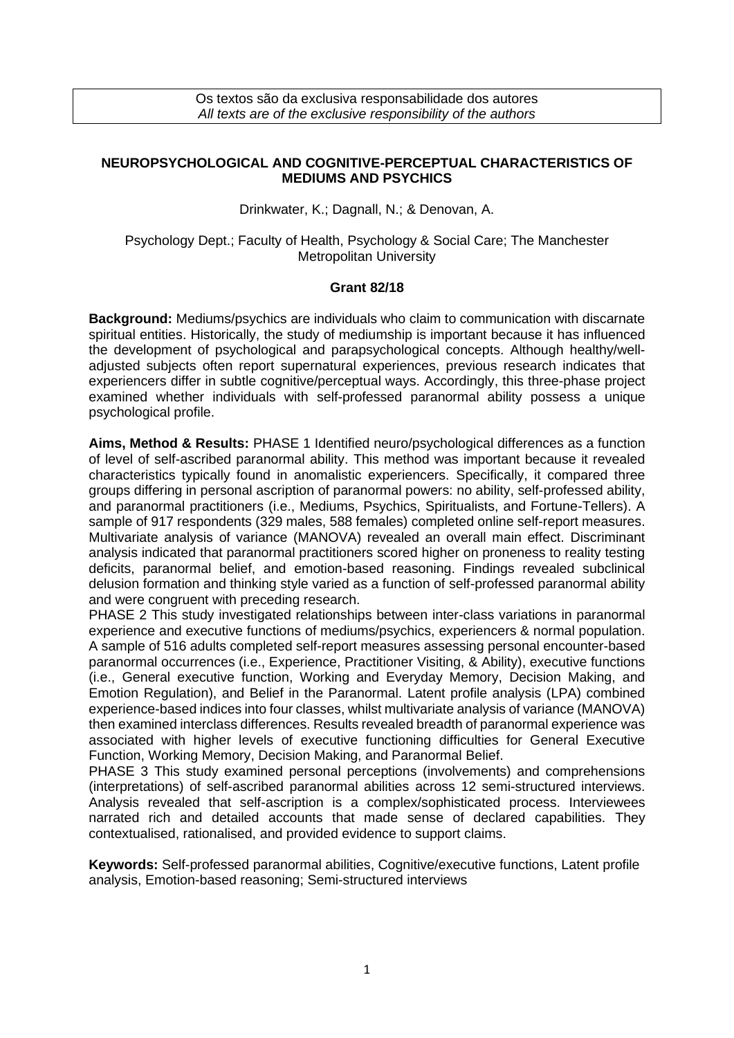Os textos são da exclusiva responsabilidade dos autores *All texts are of the exclusive responsibility of the authors*

## **NEUROPSYCHOLOGICAL AND COGNITIVE-PERCEPTUAL CHARACTERISTICS OF MEDIUMS AND PSYCHICS**

Drinkwater, K.; Dagnall, N.; & Denovan, A.

## Psychology Dept.; Faculty of Health, Psychology & Social Care; The Manchester Metropolitan University

## **Grant 82/18**

**Background:** Mediums/psychics are individuals who claim to communication with discarnate spiritual entities. Historically, the study of mediumship is important because it has influenced the development of psychological and parapsychological concepts. Although healthy/welladjusted subjects often report supernatural experiences, previous research indicates that experiencers differ in subtle cognitive/perceptual ways. Accordingly, this three-phase project examined whether individuals with self-professed paranormal ability possess a unique psychological profile.

**Aims, Method & Results:** PHASE 1 Identified neuro/psychological differences as a function of level of self-ascribed paranormal ability. This method was important because it revealed characteristics typically found in anomalistic experiencers. Specifically, it compared three groups differing in personal ascription of paranormal powers: no ability, self-professed ability, and paranormal practitioners (i.e., Mediums, Psychics, Spiritualists, and Fortune-Tellers). A sample of 917 respondents (329 males, 588 females) completed online self-report measures. Multivariate analysis of variance (MANOVA) revealed an overall main effect. Discriminant analysis indicated that paranormal practitioners scored higher on proneness to reality testing deficits, paranormal belief, and emotion-based reasoning. Findings revealed subclinical delusion formation and thinking style varied as a function of self-professed paranormal ability and were congruent with preceding research.

PHASE 2 This study investigated relationships between inter-class variations in paranormal experience and executive functions of mediums/psychics, experiencers & normal population. A sample of 516 adults completed self-report measures assessing personal encounter-based paranormal occurrences (i.e., Experience, Practitioner Visiting, & Ability), executive functions (i.e., General executive function, Working and Everyday Memory, Decision Making, and Emotion Regulation), and Belief in the Paranormal. Latent profile analysis (LPA) combined experience-based indices into four classes, whilst multivariate analysis of variance (MANOVA) then examined interclass differences. Results revealed breadth of paranormal experience was associated with higher levels of executive functioning difficulties for General Executive Function, Working Memory, Decision Making, and Paranormal Belief.

PHASE 3 This study examined personal perceptions (involvements) and comprehensions (interpretations) of self-ascribed paranormal abilities across 12 semi-structured interviews. Analysis revealed that self-ascription is a complex/sophisticated process. Interviewees narrated rich and detailed accounts that made sense of declared capabilities. They contextualised, rationalised, and provided evidence to support claims.

**Keywords:** Self-professed paranormal abilities, Cognitive/executive functions, Latent profile analysis, Emotion-based reasoning; Semi-structured interviews